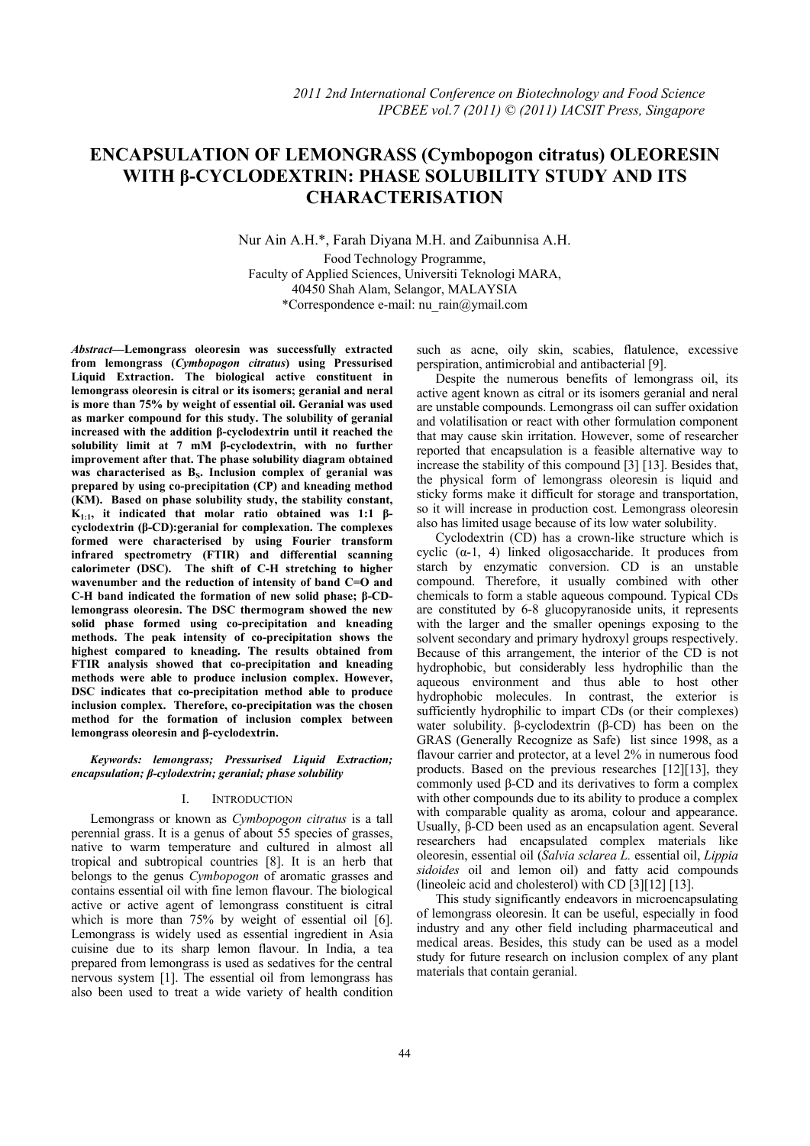# **ENCAPSULATION OF LEMONGRASS (Cymbopogon citratus) OLEORESIN**   **WITH β-CYCLODEXTRIN: PHASE SOLUBILITY STUDY AND ITS CHARACTERISATION**

Nur Ain A.H.\*, Farah Diyana M.H. and Zaibunnisa A.H. Food Technology Programme, Faculty of Applied Sciences, Universiti Teknologi MARA, 40450 Shah Alam, Selangor, MALAYSIA \*Correspondence e-mail: nu\_rain@ymail.com

*Abstract***—Lemongrass oleoresin was successfully extracted from lemongrass (***Cymbopogon citratus***) using Pressurised Liquid Extraction. The biological active constituent in lemongrass oleoresin is citral or its isomers; geranial and neral is more than 75% by weight of essential oil. Geranial was used as marker compound for this study. The solubility of geranial increased with the addition β-cyclodextrin until it reached the solubility limit at 7 mM β-cyclodextrin, with no further improvement after that. The phase solubility diagram obtained**  was characterised as B<sub>S</sub>. Inclusion complex of geranial was **prepared by using co-precipitation (CP) and kneading method (KM). Based on phase solubility study, the stability constant, K1:1, it indicated that molar ratio obtained was 1:1 βcyclodextrin (β-CD):geranial for complexation. The complexes formed were characterised by using Fourier transform infrared spectrometry (FTIR) and differential scanning calorimeter (DSC). The shift of C-H stretching to higher wavenumber and the reduction of intensity of band C=O and C-H band indicated the formation of new solid phase; β-CDlemongrass oleoresin. The DSC thermogram showed the new solid phase formed using co-precipitation and kneading methods. The peak intensity of co-precipitation shows the highest compared to kneading. The results obtained from FTIR analysis showed that co-precipitation and kneading methods were able to produce inclusion complex. However, DSC indicates that co-precipitation method able to produce inclusion complex. Therefore, co-precipitation was the chosen method for the formation of inclusion complex between lemongrass oleoresin and β-cyclodextrin.**

*Keywords: lemongrass; Pressurised Liquid Extraction; encapsulation; β-cylodextrin; geranial; phase solubility* 

## I. INTRODUCTION

Lemongrass or known as *Cymbopogon citratus* is a tall perennial grass. It is a genus of about 55 species of grasses, native to warm temperature and cultured in almost all tropical and subtropical countries [8]. It is an herb that belongs to the genus *Cymbopogon* of aromatic grasses and contains essential oil with fine lemon flavour. The biological active or active agent of lemongrass constituent is citral which is more than 75% by weight of essential oil [6]. Lemongrass is widely used as essential ingredient in Asia cuisine due to its sharp lemon flavour. In India, a tea prepared from lemongrass is used as sedatives for the central nervous system [1]. The essential oil from lemongrass has also been used to treat a wide variety of health condition such as acne, oily skin, scabies, flatulence, excessive perspiration, antimicrobial and antibacterial [9].

Despite the numerous benefits of lemongrass oil, its active agent known as citral or its isomers geranial and neral are unstable compounds. Lemongrass oil can suffer oxidation and volatilisation or react with other formulation component that may cause skin irritation. However, some of researcher reported that encapsulation is a feasible alternative way to increase the stability of this compound [3] [13]. Besides that, the physical form of lemongrass oleoresin is liquid and sticky forms make it difficult for storage and transportation, so it will increase in production cost. Lemongrass oleoresin also has limited usage because of its low water solubility.

Cyclodextrin (CD) has a crown-like structure which is cyclic  $(\alpha-1, 4)$  linked oligosaccharide. It produces from starch by enzymatic conversion. CD is an unstable compound. Therefore, it usually combined with other chemicals to form a stable aqueous compound. Typical CDs are constituted by 6-8 glucopyranoside units, it represents with the larger and the smaller openings exposing to the solvent secondary and primary hydroxyl groups respectively. Because of this arrangement, the interior of the CD is not hydrophobic, but considerably less hydrophilic than the aqueous environment and thus able to host other hydrophobic molecules. In contrast, the exterior is sufficiently hydrophilic to impart CDs (or their complexes) water solubility. β-cyclodextrin (β-CD) has been on the GRAS (Generally Recognize as Safe) list since 1998, as a flavour carrier and protector, at a level 2% in numerous food products. Based on the previous researches [12][13], they commonly used β-CD and its derivatives to form a complex with other compounds due to its ability to produce a complex with comparable quality as aroma, colour and appearance. Usually, β-CD been used as an encapsulation agent. Several researchers had encapsulated complex materials like oleoresin, essential oil (*Salvia sclarea L.* essential oil, *Lippia sidoides* oil and lemon oil) and fatty acid compounds (lineoleic acid and cholesterol) with CD [3][12] [13].

This study significantly endeavors in microencapsulating of lemongrass oleoresin. It can be useful, especially in food industry and any other field including pharmaceutical and medical areas. Besides, this study can be used as a model study for future research on inclusion complex of any plant materials that contain geranial.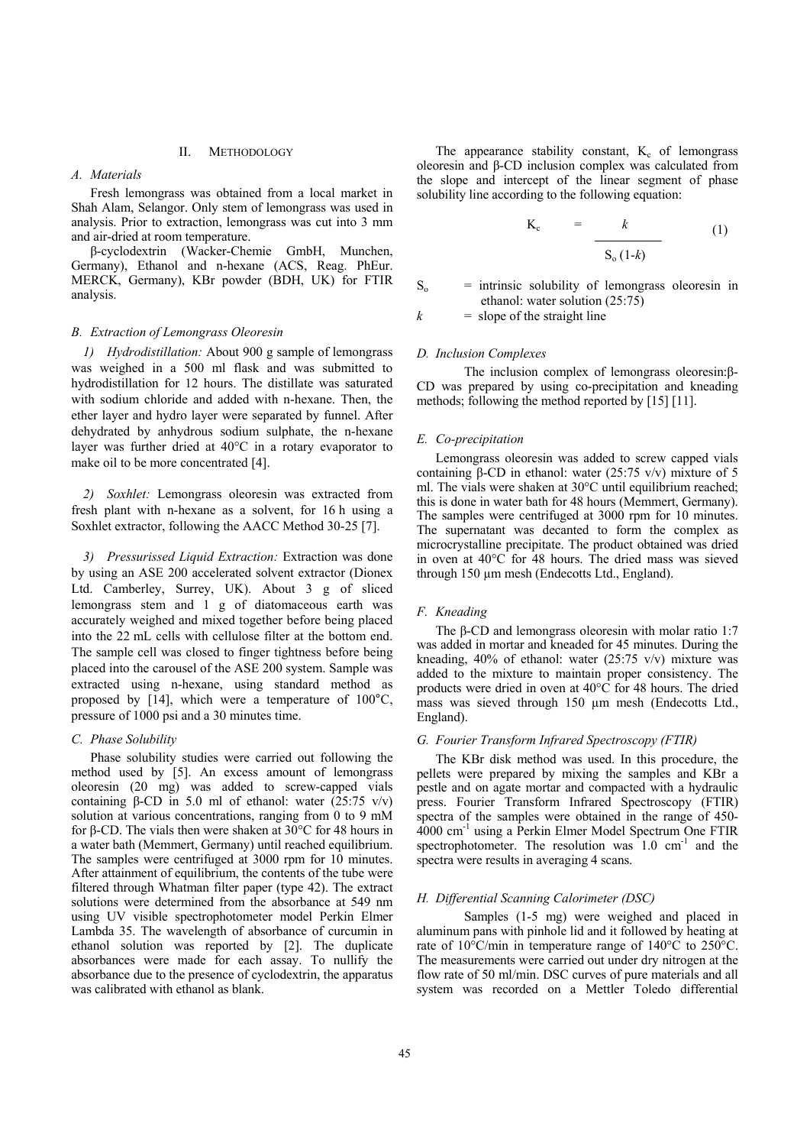#### II. METHODOLOGY

## *A. Materials*

Fresh lemongrass was obtained from a local market in Shah Alam, Selangor. Only stem of lemongrass was used in analysis. Prior to extraction, lemongrass was cut into 3 mm and air-dried at room temperature.

β-cyclodextrin (Wacker-Chemie GmbH, Munchen, Germany), Ethanol and n-hexane (ACS, Reag. PhEur. MERCK, Germany), KBr powder (BDH, UK) for FTIR analysis.

# *B. Extraction of Lemongrass Oleoresin*

*1) Hydrodistillation:* About 900 g sample of lemongrass was weighed in a 500 ml flask and was submitted to hydrodistillation for 12 hours. The distillate was saturated with sodium chloride and added with n-hexane. Then, the ether layer and hydro layer were separated by funnel. After dehydrated by anhydrous sodium sulphate, the n-hexane layer was further dried at 40°C in a rotary evaporator to make oil to be more concentrated [4].

*2) Soxhlet:* Lemongrass oleoresin was extracted from fresh plant with n-hexane as a solvent, for 16 h using a Soxhlet extractor, following the AACC Method 30-25 [7].

*3) Pressurissed Liquid Extraction:* Extraction was done by using an ASE 200 accelerated solvent extractor (Dionex Ltd. Camberley, Surrey, UK). About 3 g of sliced lemongrass stem and 1 g of diatomaceous earth was accurately weighed and mixed together before being placed into the 22 mL cells with cellulose filter at the bottom end. The sample cell was closed to finger tightness before being placed into the carousel of the ASE 200 system. Sample was extracted using n-hexane, using standard method as proposed by [14], which were a temperature of 100°C, pressure of 1000 psi and a 30 minutes time.

# *C. Phase Solubility*

Phase solubility studies were carried out following the method used by [5]. An excess amount of lemongrass oleoresin (20 mg) was added to screw-capped vials containing β-CD in 5.0 ml of ethanol: water  $(25:75 \text{ v/v})$ solution at various concentrations, ranging from 0 to 9 mM for β-CD. The vials then were shaken at 30°C for 48 hours in a water bath (Memmert, Germany) until reached equilibrium. The samples were centrifuged at 3000 rpm for 10 minutes. After attainment of equilibrium, the contents of the tube were filtered through Whatman filter paper (type 42). The extract solutions were determined from the absorbance at 549 nm using UV visible spectrophotometer model Perkin Elmer Lambda 35. The wavelength of absorbance of curcumin in ethanol solution was reported by [2]. The duplicate absorbances were made for each assay. To nullify the absorbance due to the presence of cyclodextrin, the apparatus was calibrated with ethanol as blank.

The appearance stability constant,  $K_c$  of lemongrass oleoresin and β-CD inclusion complex was calculated from the slope and intercept of the linear segment of phase solubility line according to the following equation:

$$
K_c = \frac{k}{S_o(1-k)} \tag{1}
$$

 $S_0$  = intrinsic solubility of lemongrass oleoresin in ethanol: water solution (25:75)

 $k =$ slope of the straight line

## *D. Inclusion Complexes*

 The inclusion complex of lemongrass oleoresin:β-CD was prepared by using co-precipitation and kneading methods; following the method reported by [15] [11].

## *E. Co-precipitation*

Lemongrass oleoresin was added to screw capped vials containing β-CD in ethanol: water (25:75 v/v) mixture of 5 ml. The vials were shaken at 30°C until equilibrium reached; this is done in water bath for 48 hours (Memmert, Germany). The samples were centrifuged at 3000 rpm for 10 minutes. The supernatant was decanted to form the complex as microcrystalline precipitate. The product obtained was dried in oven at 40°C for 48 hours. The dried mass was sieved through 150 µm mesh (Endecotts Ltd., England).

## *F. Kneading*

The β-CD and lemongrass oleoresin with molar ratio 1:7 was added in mortar and kneaded for 45 minutes. During the kneading,  $40\%$  of ethanol: water (25:75 v/v) mixture was added to the mixture to maintain proper consistency. The products were dried in oven at 40°C for 48 hours. The dried mass was sieved through 150 µm mesh (Endecotts Ltd., England).

#### *G. Fourier Transform Infrared Spectroscopy (FTIR)*

The KBr disk method was used. In this procedure, the pellets were prepared by mixing the samples and KBr a pestle and on agate mortar and compacted with a hydraulic press. Fourier Transform Infrared Spectroscopy (FTIR) spectra of the samples were obtained in the range of 450- 4000 cm-1 using a Perkin Elmer Model Spectrum One FTIR spectrophotometer. The resolution was  $1.0 \text{ cm}^{-1}$  and the spectra were results in averaging 4 scans.

# *H. Differential Scanning Calorimeter (DSC)*

 Samples (1-5 mg) were weighed and placed in aluminum pans with pinhole lid and it followed by heating at rate of 10°C/min in temperature range of 140°C to 250°C. The measurements were carried out under dry nitrogen at the flow rate of 50 ml/min. DSC curves of pure materials and all system was recorded on a Mettler Toledo differential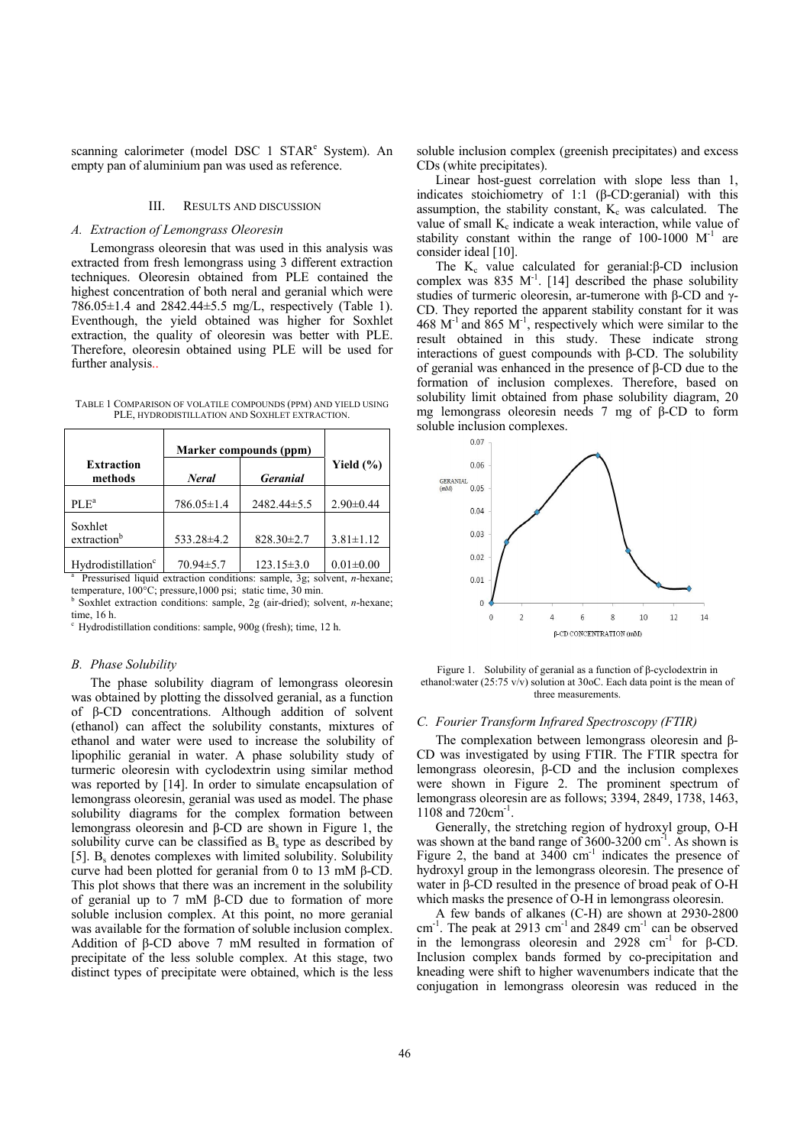scanning calorimeter (model DSC 1 STAR<sup>e</sup> System). An empty pan of aluminium pan was used as reference.

#### III. RESULTS AND DISCUSSION

## *A. Extraction of Lemongrass Oleoresin*

Lemongrass oleoresin that was used in this analysis was extracted from fresh lemongrass using 3 different extraction techniques. Oleoresin obtained from PLE contained the highest concentration of both neral and geranial which were 786.05±1.4 and 2842.44±5.5 mg/L, respectively (Table 1). Eventhough, the yield obtained was higher for Soxhlet extraction, the quality of oleoresin was better with PLE. Therefore, oleoresin obtained using PLE will be used for further analysis..

TABLE 1 COMPARISON OF VOLATILE COMPOUNDS (PPM) AND YIELD USING PLE, HYDRODISTILLATION AND SOXHLET EXTRACTION.

|                                    | Marker compounds (ppm) |                                                                                            |                 |
|------------------------------------|------------------------|--------------------------------------------------------------------------------------------|-----------------|
| <b>Extraction</b><br>methods       | Neral                  | <b>Geranial</b>                                                                            | Yield $(\% )$   |
| PLE <sup>a</sup>                   | 786.05±1.4             | 2482.44±5.5                                                                                | $2.90\pm0.44$   |
| Soxhlet<br>extraction <sup>b</sup> | 533.28±4.2             | $828.30 \pm 2.7$                                                                           | $3.81 \pm 1.12$ |
| Hydrodistillation <sup>c</sup>     | $70.94 \pm 5.7$        | $123.15 \pm 3.0$<br>Descoursed liquid outerstice conditional consular 2 or column to bound | $0.01 \pm 0.00$ |

 Pressurised liquid extraction conditions: sample, 3g; solvent, *n*-hexane; temperature, 100°C; pressure,1000 psi; static time, 30 min.

b Soxhlet extraction conditions: sample, 2g (air-dried); solvent, *n*-hexane; time, 16 h.

E Hydrodistillation conditions: sample,  $900g$  (fresh); time, 12 h.

## *B. Phase Solubility*

The phase solubility diagram of lemongrass oleoresin was obtained by plotting the dissolved geranial, as a function of β-CD concentrations. Although addition of solvent (ethanol) can affect the solubility constants, mixtures of ethanol and water were used to increase the solubility of lipophilic geranial in water. A phase solubility study of turmeric oleoresin with cyclodextrin using similar method was reported by [14]. In order to simulate encapsulation of lemongrass oleoresin, geranial was used as model. The phase solubility diagrams for the complex formation between lemongrass oleoresin and β-CD are shown in Figure 1, the solubility curve can be classified as  $B_s$  type as described by  $[5]$ . B<sub>s</sub> denotes complexes with limited solubility. Solubility curve had been plotted for geranial from 0 to 13 mM β-CD. This plot shows that there was an increment in the solubility of geranial up to 7 mM β-CD due to formation of more soluble inclusion complex. At this point, no more geranial was available for the formation of soluble inclusion complex. Addition of β-CD above 7 mM resulted in formation of precipitate of the less soluble complex. At this stage, two distinct types of precipitate were obtained, which is the less

soluble inclusion complex (greenish precipitates) and excess CDs (white precipitates).

Linear host-guest correlation with slope less than 1, indicates stoichiometry of 1:1 (β-CD:geranial) with this assumption, the stability constant,  $K_c$  was calculated. The value of small  $K_c$  indicate a weak interaction, while value of stability constant within the range of 100-1000  $M<sup>-1</sup>$  are consider ideal [10].

The  $K_c$  value calculated for geranial: $\beta$ -CD inclusion complex was 835  $M^{-1}$ . [14] described the phase solubility studies of turmeric oleoresin, ar-tumerone with β-CD and γ-CD. They reported the apparent stability constant for it was 468  $M^{-1}$  and 865  $M^{-1}$ , respectively which were similar to the result obtained in this study. These indicate strong interactions of guest compounds with β-CD. The solubility of geranial was enhanced in the presence of β-CD due to the formation of inclusion complexes. Therefore, based on solubility limit obtained from phase solubility diagram, 20 mg lemongrass oleoresin needs 7 mg of β-CD to form soluble inclusion complexes.



Figure 1. Solubility of geranial as a function of β-cyclodextrin in ethanol:water (25:75 v/v) solution at 30oC. Each data point is the mean of three measurements.

#### *C. Fourier Transform Infrared Spectroscopy (FTIR)*

The complexation between lemongrass oleoresin and β-CD was investigated by using FTIR. The FTIR spectra for lemongrass oleoresin, β-CD and the inclusion complexes were shown in Figure 2. The prominent spectrum of lemongrass oleoresin are as follows; 3394, 2849, 1738, 1463, 1108 and 720cm<sup>-1</sup>.

Generally, the stretching region of hydroxyl group, O-H was shown at the band range of 3600-3200 cm<sup>-1</sup>. As shown is Figure 2, the band at  $3400 \text{ cm}^{-1}$  indicates the presence of hydroxyl group in the lemongrass oleoresin. The presence of water in β-CD resulted in the presence of broad peak of O-H which masks the presence of  $\tilde{O}$ -H in lemongrass oleoresin.

A few bands of alkanes (C-H) are shown at 2930-2800 cm<sup>-1</sup>. The peak at 2913 cm<sup>-1</sup> and 2849 cm<sup>-1</sup> can be observed in the lemongrass oleoresin and 2928  $cm^{-1}$  for β-CD. Inclusion complex bands formed by co-precipitation and kneading were shift to higher wavenumbers indicate that the conjugation in lemongrass oleoresin was reduced in the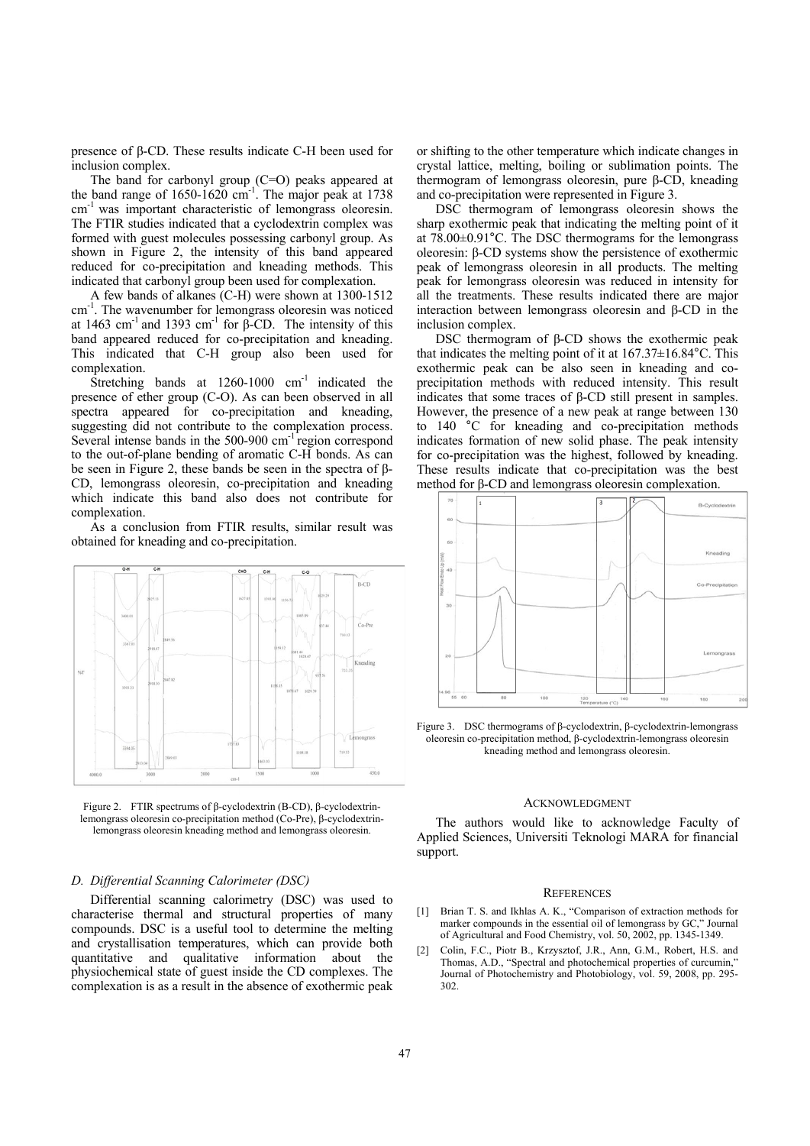presence of β-CD. These results indicate C-H been used for inclusion complex.

The band for carbonyl group (C=O) peaks appeared at the band range of  $1650-1620$  cm<sup>-1</sup>. The major peak at  $1738$ cm-1 was important characteristic of lemongrass oleoresin. The FTIR studies indicated that a cyclodextrin complex was formed with guest molecules possessing carbonyl group. As shown in Figure 2, the intensity of this band appeared reduced for co-precipitation and kneading methods. This indicated that carbonyl group been used for complexation.

A few bands of alkanes (C-H) were shown at 1300-1512 cm-1. The wavenumber for lemongrass oleoresin was noticed at 1463 cm<sup>-1</sup> and 1393 cm<sup>-1</sup> for β-CD. The intensity of this band appeared reduced for co-precipitation and kneading. This indicated that C-H group also been used for complexation.

Stretching bands at  $1260-1000$  cm<sup>-1</sup> indicated the presence of ether group (C-O). As can been observed in all spectra appeared for co-precipitation and kneading, suggesting did not contribute to the complexation process. Several intense bands in the 500-900 cm<sup>-1</sup> region correspond to the out-of-plane bending of aromatic C-H bonds. As can be seen in Figure 2, these bands be seen in the spectra of β-CD, lemongrass oleoresin, co-precipitation and kneading which indicate this band also does not contribute for complexation.

As a conclusion from FTIR results, similar result was obtained for kneading and co-precipitation.



Figure 2. FTIR spectrums of β-cyclodextrin (B-CD), β-cyclodextrinlemongrass oleoresin co-precipitation method (Co-Pre), β-cyclodextrinlemongrass oleoresin kneading method and lemongrass oleoresin.

#### *D. Differential Scanning Calorimeter (DSC)*

Differential scanning calorimetry (DSC) was used to characterise thermal and structural properties of many compounds. DSC is a useful tool to determine the melting and crystallisation temperatures, which can provide both quantitative and qualitative information about the physiochemical state of guest inside the CD complexes. The complexation is as a result in the absence of exothermic peak or shifting to the other temperature which indicate changes in crystal lattice, melting, boiling or sublimation points. The thermogram of lemongrass oleoresin, pure β-CD, kneading and co-precipitation were represented in Figure 3.

DSC thermogram of lemongrass oleoresin shows the sharp exothermic peak that indicating the melting point of it at 78.00±0.91°C. The DSC thermograms for the lemongrass oleoresin: β-CD systems show the persistence of exothermic peak of lemongrass oleoresin in all products. The melting peak for lemongrass oleoresin was reduced in intensity for all the treatments. These results indicated there are major interaction between lemongrass oleoresin and β-CD in the inclusion complex.

DSC thermogram of β-CD shows the exothermic peak that indicates the melting point of it at  $167.37\pm16.84^{\circ}$ C. This exothermic peak can be also seen in kneading and coprecipitation methods with reduced intensity. This result indicates that some traces of β-CD still present in samples. However, the presence of a new peak at range between 130 to 140 °C for kneading and co-precipitation methods indicates formation of new solid phase. The peak intensity for co-precipitation was the highest, followed by kneading. These results indicate that co-precipitation was the best method for β-CD and lemongrass oleoresin complexation.



Figure 3. DSC thermograms of β-cyclodextrin, β-cyclodextrin-lemongrass oleoresin co-precipitation method, β-cyclodextrin-lemongrass oleoresin kneading method and lemongrass oleoresin.

#### ACKNOWLEDGMENT

The authors would like to acknowledge Faculty of Applied Sciences, Universiti Teknologi MARA for financial support.

#### **REFERENCES**

- [1] Brian T. S. and Ikhlas A. K., "Comparison of extraction methods for marker compounds in the essential oil of lemongrass by GC," Journal of Agricultural and Food Chemistry, vol. 50, 2002, pp. 1345-1349.
- [2] Colin, F.C., Piotr B., Krzysztof, J.R., Ann, G.M., Robert, H.S. and Thomas, A.D., "Spectral and photochemical properties of curcumin," Journal of Photochemistry and Photobiology, vol. 59, 2008, pp. 295- 302.